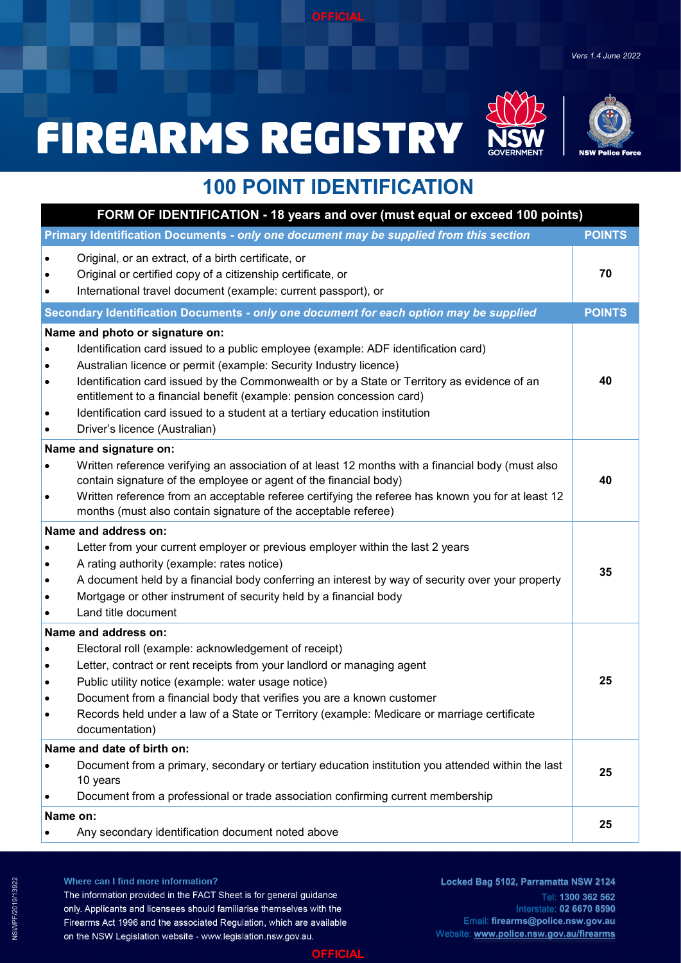*Vers 1.4 June 2022*

# **FIREARMS REGISTRY**





### **100 POINT IDENTIFICATION**

| FORM OF IDENTIFICATION - 18 years and over (must equal or exceed 100 points)                                                                                                                                                                                                                                                                                                                                                                                                       |               |  |
|------------------------------------------------------------------------------------------------------------------------------------------------------------------------------------------------------------------------------------------------------------------------------------------------------------------------------------------------------------------------------------------------------------------------------------------------------------------------------------|---------------|--|
| Primary Identification Documents - only one document may be supplied from this section                                                                                                                                                                                                                                                                                                                                                                                             | <b>POINTS</b> |  |
| Original, or an extract, of a birth certificate, or<br>Original or certified copy of a citizenship certificate, or<br>International travel document (example: current passport), or                                                                                                                                                                                                                                                                                                | 70            |  |
| Secondary Identification Documents - only one document for each option may be supplied                                                                                                                                                                                                                                                                                                                                                                                             | <b>POINTS</b> |  |
| Name and photo or signature on:<br>Identification card issued to a public employee (example: ADF identification card)<br>Australian licence or permit (example: Security Industry licence)<br>Identification card issued by the Commonwealth or by a State or Territory as evidence of an<br>entitlement to a financial benefit (example: pension concession card)<br>Identification card issued to a student at a tertiary education institution<br>Driver's licence (Australian) | 40            |  |
| Name and signature on:<br>Written reference verifying an association of at least 12 months with a financial body (must also<br>contain signature of the employee or agent of the financial body)<br>Written reference from an acceptable referee certifying the referee has known you for at least 12<br>months (must also contain signature of the acceptable referee)                                                                                                            | 40            |  |
| Name and address on:<br>Letter from your current employer or previous employer within the last 2 years<br>A rating authority (example: rates notice)<br>A document held by a financial body conferring an interest by way of security over your property<br>Mortgage or other instrument of security held by a financial body<br>Land title document                                                                                                                               | 35            |  |
| Name and address on:<br>Electoral roll (example: acknowledgement of receipt)<br>Letter, contract or rent receipts from your landlord or managing agent<br>$\bullet$<br>Public utility notice (example: water usage notice)<br>٠<br>Document from a financial body that verifies you are a known customer<br>Records held under a law of a State or Territory (example: Medicare or marriage certificate<br>documentation)                                                          | 25            |  |
| Name and date of birth on:<br>Document from a primary, secondary or tertiary education institution you attended within the last<br>10 years<br>Document from a professional or trade association confirming current membership                                                                                                                                                                                                                                                     | 25            |  |
| Name on:<br>Any secondary identification document noted above                                                                                                                                                                                                                                                                                                                                                                                                                      | 25            |  |

Where can I find more information? The information provided in the FACT Sheet is for general guidance only. Applicants and licensees should familiarise themselves with the Firearms Act 1996 and the associated Regulation, which are available on the NSW Legislation website - www.legislation.nsw.gov.au.

**Locked Bag 5102, Parramatta NSW 2124** Tel: **1300 362 562**  Interstate: **02 6670 8590** Email: **firearms@police.nsw.gov.au** Website: **[www.police.nsw.gov.au/firearms](https://www.police.nsw.gov.au/online_services/firearms)**

### **OFFICIAL**